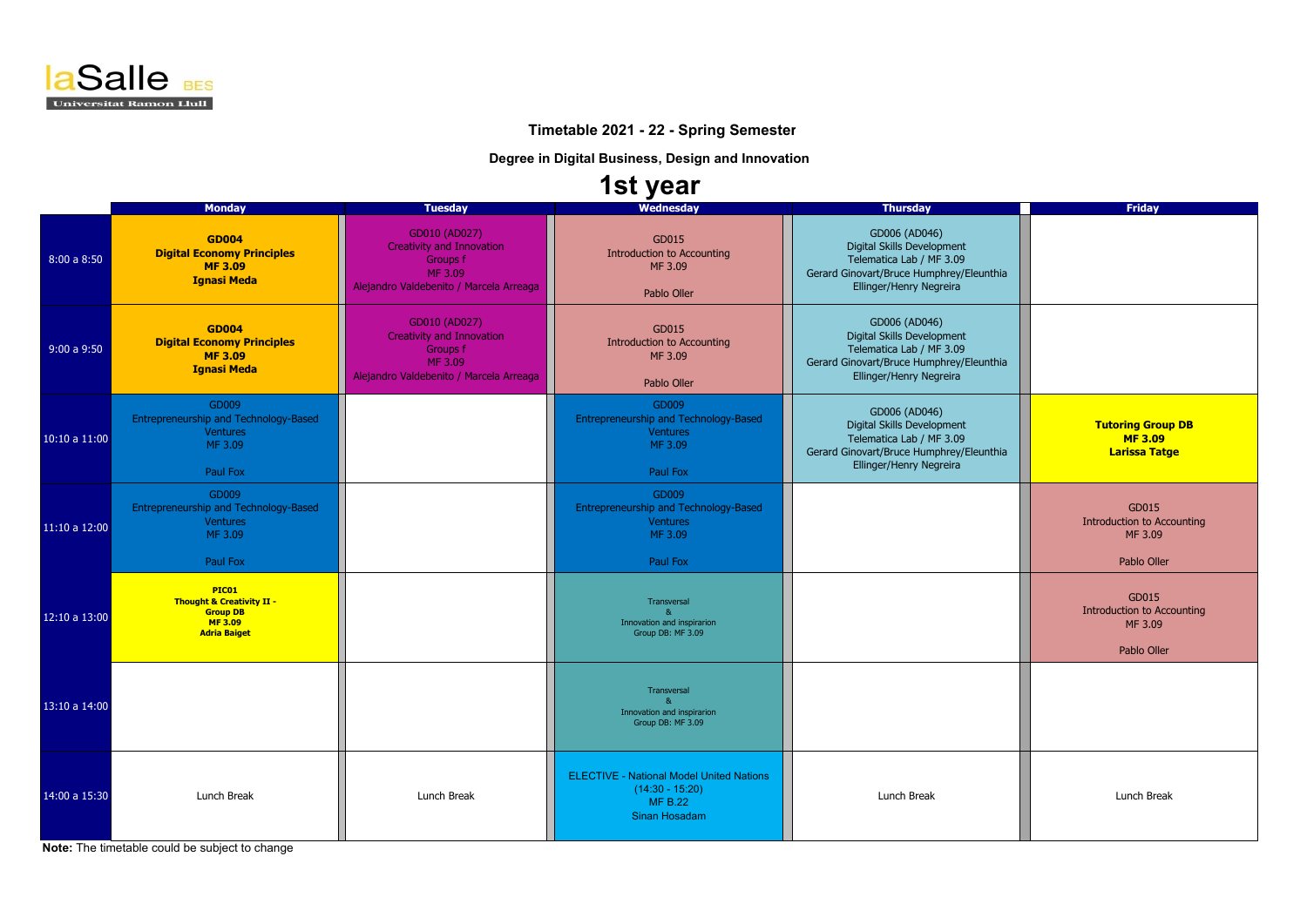

 **Timetable 2021 - 22 - Spring Semester**

**Degree in Digital Business, Design and Innovation**

## **1st year**

|               | <b>Monday</b>                                                                                            | <b>Tuesday</b>                                                                                                      | Wednesday                                                                                                      | <b>Thursday</b>                                                                                                                                | <b>Friday</b>                                                        |
|---------------|----------------------------------------------------------------------------------------------------------|---------------------------------------------------------------------------------------------------------------------|----------------------------------------------------------------------------------------------------------------|------------------------------------------------------------------------------------------------------------------------------------------------|----------------------------------------------------------------------|
| 8:00a8:50     | <b>GD004</b><br><b>Digital Economy Principles</b><br><b>MF3.09</b><br><b>Ignasi Meda</b>                 | GD010 (AD027)<br><b>Creativity and Innovation</b><br>Groups f<br>MF 3.09<br>Alejandro Valdebenito / Marcela Arreaga | GD015<br><b>Introduction to Accounting</b><br>MF 3.09<br>Pablo Oller                                           | GD006 (AD046)<br>Digital Skills Development<br>Telematica Lab / MF 3.09<br>Gerard Ginovart/Bruce Humphrey/Eleunthia<br>Ellinger/Henry Negreira |                                                                      |
| 9:00a9:50     | <b>GD004</b><br><b>Digital Economy Principles</b><br><b>MF3.09</b><br><b>Ignasi Meda</b>                 | GD010 (AD027)<br><b>Creativity and Innovation</b><br>Groups f<br>MF 3.09<br>Alejandro Valdebenito / Marcela Arreaga | GD015<br><b>Introduction to Accounting</b><br>MF 3.09<br>Pablo Oller                                           | GD006 (AD046)<br>Digital Skills Development<br>Telematica Lab / MF 3.09<br>Gerard Ginovart/Bruce Humphrey/Eleunthia<br>Ellinger/Henry Negreira |                                                                      |
| 10:10 a 11:00 | GD009<br>Entrepreneurship and Technology-Based<br><b>Ventures</b><br>MF 3.09<br>Paul Fox                 |                                                                                                                     | GD009<br>Entrepreneurship and Technology-Based<br><b>Ventures</b><br>MF 3.09<br>Paul Fox                       | GD006 (AD046)<br>Digital Skills Development<br>Telematica Lab / MF 3.09<br>Gerard Ginovart/Bruce Humphrey/Eleunthia<br>Ellinger/Henry Negreira | <b>Tutoring Group DB</b><br><b>MF3.09</b><br><b>Larissa Tatge</b>    |
| 11:10 a 12:00 | GD009<br>Entrepreneurship and Technology-Based<br><b>Ventures</b><br>MF 3.09<br>Paul Fox                 |                                                                                                                     | GD009<br>Entrepreneurship and Technology-Based<br><b>Ventures</b><br>MF 3.09<br>Paul Fox                       |                                                                                                                                                | GD015<br><b>Introduction to Accounting</b><br>MF 3.09<br>Pablo Oller |
| 12:10 a 13:00 | PIC01<br><b>Thought &amp; Creativity II -</b><br><b>Group DB</b><br><b>MF3.09</b><br><b>Adria Baiget</b> |                                                                                                                     | Transversal<br>$\mathbf{R}$<br>Innovation and inspirarion<br>Group DB: MF 3.09                                 |                                                                                                                                                | GD015<br><b>Introduction to Accounting</b><br>MF 3.09<br>Pablo Oller |
| 13:10 a 14:00 |                                                                                                          |                                                                                                                     | Transversal<br>$\mathbf{R}$<br>Innovation and inspirarion<br>Group DB: MF 3.09                                 |                                                                                                                                                |                                                                      |
| 14:00 a 15:30 | Lunch Break                                                                                              | Lunch Break                                                                                                         | <b>ELECTIVE - National Model United Nations</b><br>$(14:30 - 15:20)$<br><b>MF B.22</b><br><b>Sinan Hosadam</b> | Lunch Break                                                                                                                                    | Lunch Break                                                          |

**Note:** The timetable could be subject to change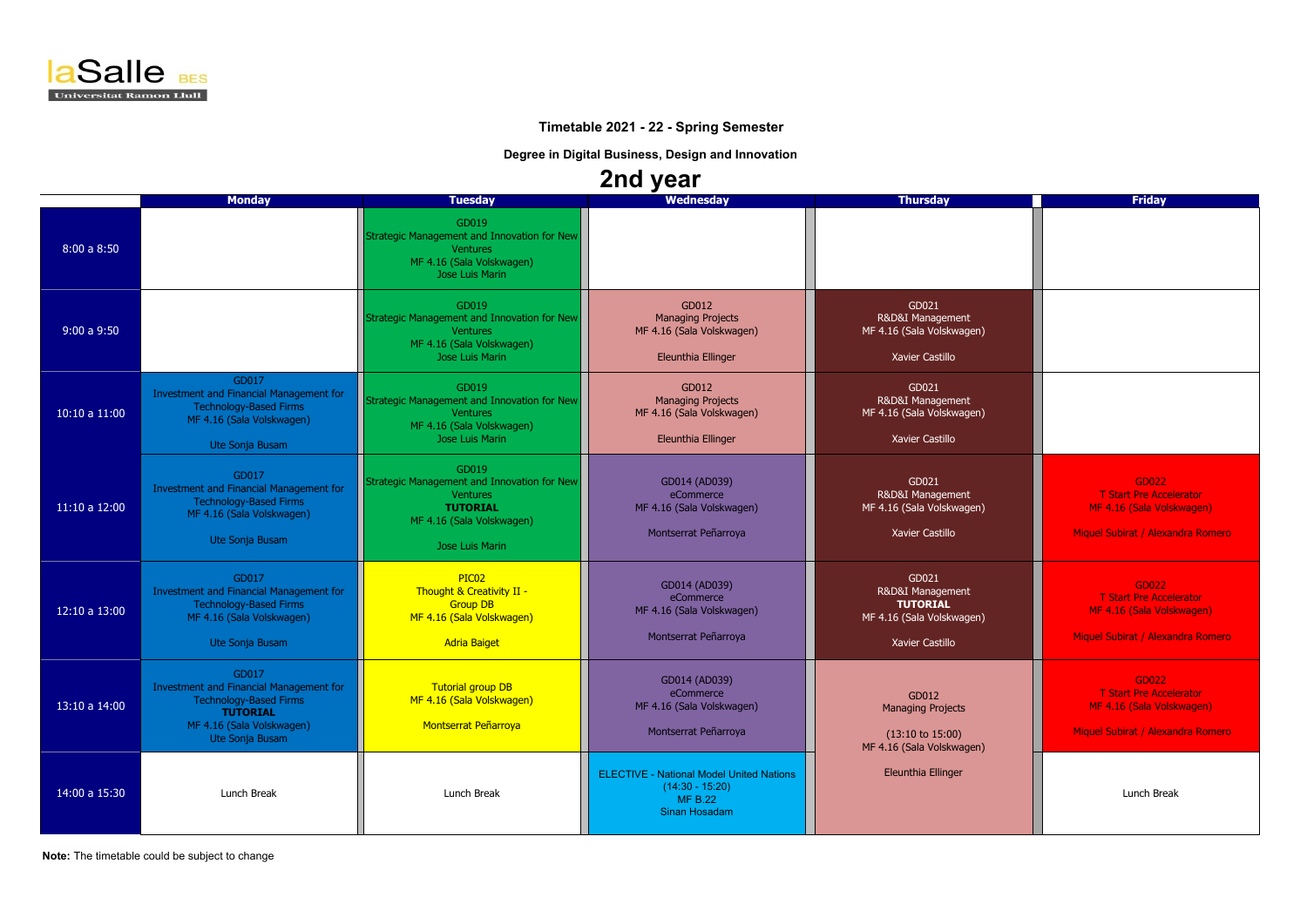

## **Timetable 2021 - 22 - Spring Semester**

**Degree in Digital Business, Design and Innovation**

## **2nd year**

| EN JVAI       |                                                                                                                                                      |                                                                                                                                            |                                                                                                         |                                                                                               |                                                                                                           |  |  |  |  |
|---------------|------------------------------------------------------------------------------------------------------------------------------------------------------|--------------------------------------------------------------------------------------------------------------------------------------------|---------------------------------------------------------------------------------------------------------|-----------------------------------------------------------------------------------------------|-----------------------------------------------------------------------------------------------------------|--|--|--|--|
|               | <b>Monday</b>                                                                                                                                        | <b>Tuesday</b>                                                                                                                             | Wednesday                                                                                               | <b>Thursday</b>                                                                               | <b>Friday</b>                                                                                             |  |  |  |  |
| 8:00a8:50     |                                                                                                                                                      | GD019<br>Strategic Management and Innovation for New<br><b>Ventures</b><br>MF 4.16 (Sala Volskwagen)<br>Jose Luis Marin                    |                                                                                                         |                                                                                               |                                                                                                           |  |  |  |  |
| 9:00a9:50     |                                                                                                                                                      | GD019<br>Strategic Management and Innovation for New<br><b>Ventures</b><br>MF 4.16 (Sala Volskwagen)<br>Jose Luis Marin                    | GD012<br><b>Managing Projects</b><br>MF 4.16 (Sala Volskwagen)<br>Eleunthia Ellinger                    | GD021<br>R&D&I Management<br>MF 4.16 (Sala Volskwagen)<br>Xavier Castillo                     |                                                                                                           |  |  |  |  |
| 10:10 a 11:00 | GD017<br>Investment and Financial Management for<br><b>Technology-Based Firms</b><br>MF 4.16 (Sala Volskwagen)<br>Ute Sonja Busam                    | GD019<br>Strategic Management and Innovation for New<br><b>Ventures</b><br>MF 4.16 (Sala Volskwagen)<br>Jose Luis Marin                    | GD012<br><b>Managing Projects</b><br>MF 4.16 (Sala Volskwagen)<br>Eleunthia Ellinger                    | GD021<br>R&D&I Management<br>MF 4.16 (Sala Volskwagen)<br>Xavier Castillo                     |                                                                                                           |  |  |  |  |
| 11:10a 12:00  | GD017<br>Investment and Financial Management for<br><b>Technology-Based Firms</b><br>MF 4.16 (Sala Volskwagen)<br>Ute Sonja Busam                    | GD019<br>Strategic Management and Innovation for New<br><b>Ventures</b><br><b>TUTORIAL</b><br>MF 4.16 (Sala Volskwagen)<br>Jose Luis Marin | GD014 (AD039)<br>eCommerce<br>MF 4.16 (Sala Volskwagen)<br>Montserrat Peñarroya                         | GD021<br>R&D&I Management<br>MF 4.16 (Sala Volskwagen)<br>Xavier Castillo                     | GD022<br><b>T Start Pre Accelerator</b><br>MF 4.16 (Sala Volskwagen)<br>Miguel Subirat / Alexandra Romero |  |  |  |  |
| 12:10 a 13:00 | GD017<br>Investment and Financial Management for<br><b>Technology-Based Firms</b><br>MF 4.16 (Sala Volskwagen)<br>Ute Sonja Busam                    | PIC <sub>02</sub><br>Thought & Creativity II -<br><b>Group DB</b><br>MF 4.16 (Sala Volskwagen)<br><b>Adria Baiget</b>                      | GD014 (AD039)<br>eCommerce<br>MF 4.16 (Sala Volskwagen)<br>Montserrat Peñarroya                         | GD021<br>R&D&I Management<br><b>TUTORIAL</b><br>MF 4.16 (Sala Volskwagen)<br>Xavier Castillo  | GD022<br><b>T Start Pre Accelerator</b><br>MF 4.16 (Sala Volskwagen)<br>Miquel Subirat / Alexandra Romero |  |  |  |  |
| 13:10 a 14:00 | GD017<br>Investment and Financial Management for<br><b>Technology-Based Firms</b><br><b>TUTORIAL</b><br>MF 4.16 (Sala Volskwagen)<br>Ute Sonja Busam | Tutorial group DB<br>MF 4.16 (Sala Volskwagen)<br><b>Montserrat Peñarroya</b>                                                              | GD014 (AD039)<br>eCommerce<br>MF 4.16 (Sala Volskwagen)<br>Montserrat Peñarroya                         | GD012<br><b>Managing Projects</b><br>$(13:10 \text{ to } 15:00)$<br>MF 4.16 (Sala Volskwagen) | GD022<br><b>T Start Pre Accelerator</b><br>MF 4.16 (Sala Volskwagen)<br>Miquel Subirat / Alexandra Romero |  |  |  |  |
| 14:00 a 15:30 | Lunch Break                                                                                                                                          | Lunch Break                                                                                                                                | <b>ELECTIVE - National Model United Nations</b><br>$(14:30 - 15:20)$<br><b>MF B.22</b><br>Sinan Hosadam | <b>Eleunthia Ellinger</b>                                                                     | Lunch Break                                                                                               |  |  |  |  |